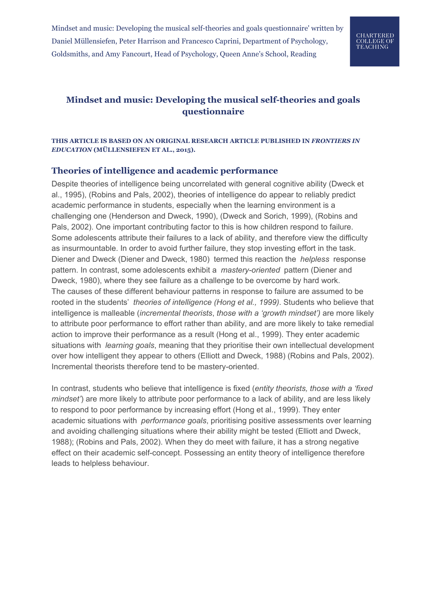

# **Mindset and music: Developing the musical self-theories and goals questionnaire**

### **THIS ARTICLE IS BASED ON AN ORIGINAL RESEARCH ARTICLE PUBLISHED IN** *FRONTIERS IN EDUCATION* **(MÜLLENSIEFEN ET AL., 2015).**

### **Theories of intelligence and academic performance**

Despite theories of intelligence being uncorrelated with general cognitive ability (Dweck et al., 1995), (Robins and Pals, 2002), theories of intelligence do appear to reliably predict academic performance in students, especially when the learning environment is a challenging one (Henderson and Dweck, 1990), (Dweck and Sorich, 1999), (Robins and Pals, 2002). One important contributing factor to this is how children respond to failure. Some adolescents attribute their failures to a lack of ability, and therefore view the difficulty as insurmountable. In order to avoid further failure, they stop investing effort in the task. Diener and Dweck (Diener and Dweck, 1980) termed this reaction the *helpless* response pattern. In contrast, some adolescents exhibit a *mastery-oriented* pattern (Diener and Dweck, 1980), where they see failure as a challenge to be overcome by hard work. The causes of these different behaviour patterns in response to failure are assumed to be rooted in the students' *theories of intelligence (Hong et al., 1999)*. Students who believe that intelligence is malleable (*incremental theorists*, *those with a 'growth mindset')* are more likely to attribute poor performance to effort rather than ability, and are more likely to take remedial action to improve their performance as a result (Hong et al., 1999). They enter academic situations with *learning goals*, meaning that they prioritise their own intellectual development over how intelligent they appear to others (Elliott and Dweck, 1988) (Robins and Pals, 2002). Incremental theorists therefore tend to be mastery-oriented.

In contrast, students who believe that intelligence is fixed (*entity theorists, those with a 'fixed mindset'*) are more likely to attribute poor performance to a lack of ability, and are less likely to respond to poor performance by increasing effort (Hong et al., 1999). They enter academic situations with *performance goals*, prioritising positive assessments over learning and avoiding challenging situations where their ability might be tested (Elliott and Dweck, 1988); (Robins and Pals, 2002). When they do meet with failure, it has a strong negative effect on their academic self-concept. Possessing an entity theory of intelligence therefore leads to helpless behaviour.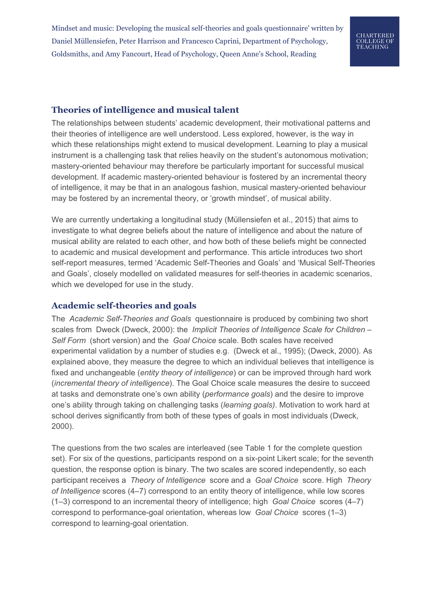# CHARTERED **COLLEGE OF TEACHING**

### **Theories of intelligence and musical talent**

The relationships between students' academic development, their motivational patterns and their theories of intelligence are well understood. Less explored, however, is the way in which these relationships might extend to musical development. Learning to play a musical instrument is a challenging task that relies heavily on the student's autonomous motivation; mastery-oriented behaviour may therefore be particularly important for successful musical development. If academic mastery-oriented behaviour is fostered by an incremental theory of intelligence, it may be that in an analogous fashion, musical mastery-oriented behaviour may be fostered by an incremental theory, or 'growth mindset', of musical ability.

We are currently undertaking a longitudinal study (Müllensiefen et al., 2015) that aims to investigate to what degree beliefs about the nature of intelligence and about the nature of musical ability are related to each other, and how both of these beliefs might be connected to academic and musical development and performance. This article introduces two short self-report measures, termed 'Academic Self-Theories and Goals' and 'Musical Self-Theories and Goals', closely modelled on validated measures for self-theories in academic scenarios, which we developed for use in the study.

### **Academic self-theories and goals**

The *Academic Self-Theories and Goals* questionnaire is produced by combining two short scales from Dweck (Dweck, 2000): the *Implicit Theories of Intelligence Scale for Children – Self Form* (short version) and the *Goal Choice* scale. Both scales have received experimental validation by a number of studies e.g. (Dweck et al., 1995); (Dweck, 2000). As explained above, they measure the degree to which an individual believes that intelligence is fixed and unchangeable (*entity theory of intelligence*) or can be improved through hard work (*incremental theory of intelligence*). The Goal Choice scale measures the desire to succeed at tasks and demonstrate one's own ability (*performance goals*) and the desire to improve one's ability through taking on challenging tasks (*learning goals)*. Motivation to work hard at school derives significantly from both of these types of goals in most individuals (Dweck, 2000).

The questions from the two scales are interleaved (see Table 1 for the complete question set). For six of the questions, participants respond on a six-point Likert scale; for the seventh question, the response option is binary. The two scales are scored independently, so each participant receives a *Theory of Intelligence* score and a *Goal Choice* score. High *Theory of Intelligence* scores (4–7) correspond to an entity theory of intelligence, while low scores (1–3) correspond to an incremental theory of intelligence; high *Goal Choice* scores (4–7) correspond to performance-goal orientation, whereas low *Goal Choice* scores (1–3) correspond to learning-goal orientation.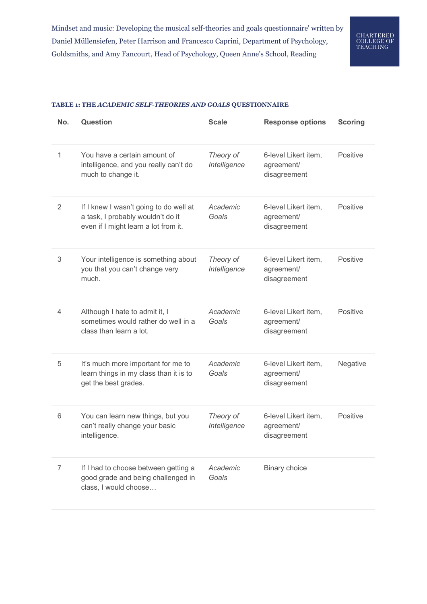### **TABLE 1: THE** *ACADEMIC SELF-THEORIES AND GOALS* **QUESTIONNAIRE**

| No.            | <b>Question</b>                                                                                                     | <b>Scale</b>              | <b>Response options</b>                            | <b>Scoring</b>  |
|----------------|---------------------------------------------------------------------------------------------------------------------|---------------------------|----------------------------------------------------|-----------------|
| 1              | You have a certain amount of<br>intelligence, and you really can't do<br>much to change it.                         | Theory of<br>Intelligence | 6-level Likert item,<br>agreement/<br>disagreement | Positive        |
| 2              | If I knew I wasn't going to do well at<br>a task, I probably wouldn't do it<br>even if I might learn a lot from it. | Academic<br>Goals         | 6-level Likert item,<br>agreement/<br>disagreement | Positive        |
| 3              | Your intelligence is something about<br>you that you can't change very<br>much.                                     | Theory of<br>Intelligence | 6-level Likert item,<br>agreement/<br>disagreement | <b>Positive</b> |
| 4              | Although I hate to admit it, I<br>sometimes would rather do well in a<br>class than learn a lot.                    | Academic<br>Goals         | 6-level Likert item,<br>agreement/<br>disagreement | Positive        |
| 5              | It's much more important for me to<br>learn things in my class than it is to<br>get the best grades.                | Academic<br>Goals         | 6-level Likert item,<br>agreement/<br>disagreement | Negative        |
| 6              | You can learn new things, but you<br>can't really change your basic<br>intelligence.                                | Theory of<br>Intelligence | 6-level Likert item,<br>agreement/<br>disagreement | Positive        |
| $\overline{7}$ | If I had to choose between getting a<br>good grade and being challenged in<br>class, I would choose                 | Academic<br>Goals         | <b>Binary choice</b>                               |                 |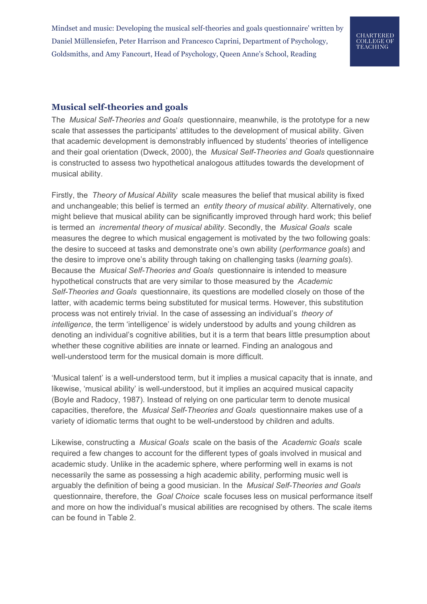# CHARTERED **COLLEGE OF TEACHING**

## **Musical self-theories and goals**

The *Musical Self-Theories and Goals* questionnaire, meanwhile, is the prototype for a new scale that assesses the participants' attitudes to the development of musical ability. Given that academic development is demonstrably influenced by students' theories of intelligence and their goal orientation (Dweck, 2000), the *Musical Self-Theories and Goals* questionnaire is constructed to assess two hypothetical analogous attitudes towards the development of musical ability.

Firstly, the *Theory of Musical Ability* scale measures the belief that musical ability is fixed and unchangeable; this belief is termed an *entity theory of musical ability*. Alternatively, one might believe that musical ability can be significantly improved through hard work; this belief is termed an *incremental theory of musical ability*. Secondly, the *Musical Goals* scale measures the degree to which musical engagement is motivated by the two following goals: the desire to succeed at tasks and demonstrate one's own ability (*performance goals*) and the desire to improve one's ability through taking on challenging tasks (*learning goals*). Because the *Musical Self-Theories and Goals* questionnaire is intended to measure hypothetical constructs that are very similar to those measured by the *Academic Self-Theories and Goals* questionnaire, its questions are modelled closely on those of the latter, with academic terms being substituted for musical terms. However, this substitution process was not entirely trivial. In the case of assessing an individual's *theory of intelligence*, the term 'intelligence' is widely understood by adults and young children as denoting an individual's cognitive abilities, but it is a term that bears little presumption about whether these cognitive abilities are innate or learned. Finding an analogous and well-understood term for the musical domain is more difficult.

'Musical talent' is a well-understood term, but it implies a musical capacity that is innate, and likewise, 'musical ability' is well-understood, but it implies an acquired musical capacity (Boyle and Radocy, 1987). Instead of relying on one particular term to denote musical capacities, therefore, the *Musical Self-Theories and Goals* questionnaire makes use of a variety of idiomatic terms that ought to be well-understood by children and adults.

Likewise, constructing a *Musical Goals* scale on the basis of the *Academic Goals* scale required a few changes to account for the different types of goals involved in musical and academic study. Unlike in the academic sphere, where performing well in exams is not necessarily the same as possessing a high academic ability, performing music well is arguably the definition of being a good musician. In the *Musical Self-Theories and Goals* questionnaire, therefore, the *Goal Choice* scale focuses less on musical performance itself and more on how the individual's musical abilities are recognised by others. The scale items can be found in Table 2.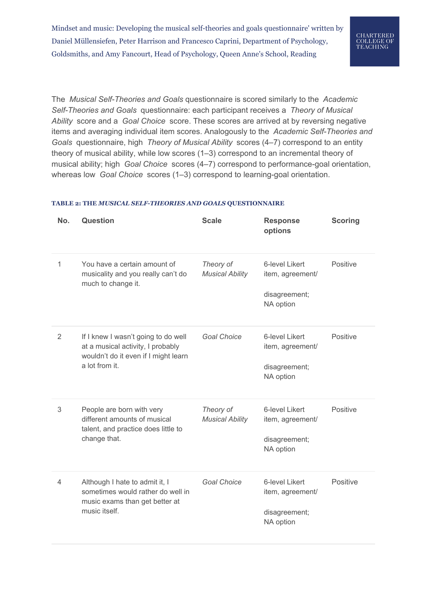The *Musical Self-Theories and Goals* questionnaire is scored similarly to the *Academic Self-Theories and Goals* questionnaire: each participant receives a *Theory of Musical Ability* score and a *Goal Choice* score. These scores are arrived at by reversing negative items and averaging individual item scores. Analogously to the *Academic Self-Theories and Goals* questionnaire, high *Theory of Musical Ability* scores (4–7) correspond to an entity theory of musical ability, while low scores (1–3) correspond to an incremental theory of musical ability; high *Goal Choice* scores (4–7) correspond to performance-goal orientation, whereas low *Goal Choice* scores (1–3) correspond to learning-goal orientation.

### **TABLE 2: THE** *MUSICAL SELF-THEORIES AND GOALS* **QUESTIONNAIRE**

| No.            | <b>Question</b>                                                                                                                    | <b>Scale</b>                        | <b>Response</b><br>options                                       | <b>Scoring</b> |
|----------------|------------------------------------------------------------------------------------------------------------------------------------|-------------------------------------|------------------------------------------------------------------|----------------|
| 1              | You have a certain amount of<br>musicality and you really can't do<br>much to change it.                                           | Theory of<br><b>Musical Ability</b> | 6-level Likert<br>item, agreement/<br>disagreement;<br>NA option | Positive       |
| $\overline{2}$ | If I knew I wasn't going to do well<br>at a musical activity, I probably<br>wouldn't do it even if I might learn<br>a lot from it. | <b>Goal Choice</b>                  | 6-level Likert<br>item, agreement/<br>disagreement;<br>NA option | Positive       |
| 3              | People are born with very<br>different amounts of musical<br>talent, and practice does little to<br>change that.                   | Theory of<br><b>Musical Ability</b> | 6-level Likert<br>item, agreement/<br>disagreement;<br>NA option | Positive       |
| 4              | Although I hate to admit it, I<br>sometimes would rather do well in<br>music exams than get better at<br>music itself.             | <b>Goal Choice</b>                  | 6-level Likert<br>item, agreement/<br>disagreement;<br>NA option | Positive       |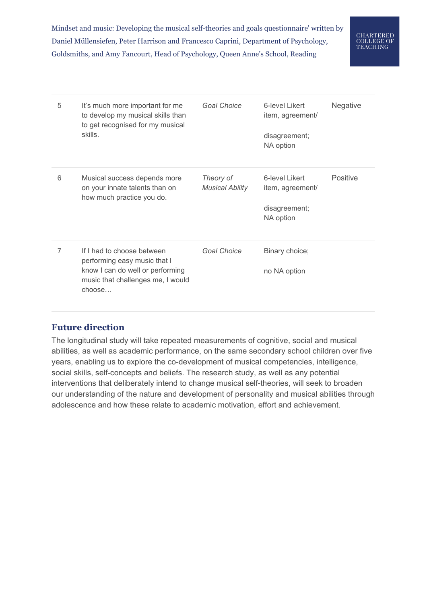

| 5 | It's much more important for me<br>to develop my musical skills than<br>to get recognised for my musical<br>skills.                           | <b>Goal Choice</b>                  | 6-level Likert<br>item, agreement/<br>disagreement;<br>NA option | <b>Negative</b> |
|---|-----------------------------------------------------------------------------------------------------------------------------------------------|-------------------------------------|------------------------------------------------------------------|-----------------|
| 6 | Musical success depends more<br>on your innate talents than on<br>how much practice you do.                                                   | Theory of<br><b>Musical Ability</b> | 6-level Likert<br>item, agreement/<br>disagreement;<br>NA option | Positive        |
| 7 | If I had to choose between<br>performing easy music that I<br>know I can do well or performing<br>music that challenges me, I would<br>choose | <b>Goal Choice</b>                  | Binary choice;<br>no NA option                                   |                 |

## **Future direction**

The longitudinal study will take repeated measurements of cognitive, social and musical abilities, as well as academic performance, on the same secondary school children over five years, enabling us to explore the co-development of musical competencies, intelligence, social skills, self-concepts and beliefs. The research study, as well as any potential interventions that deliberately intend to change musical self-theories, will seek to broaden our understanding of the nature and development of personality and musical abilities through adolescence and how these relate to academic motivation, effort and achievement.